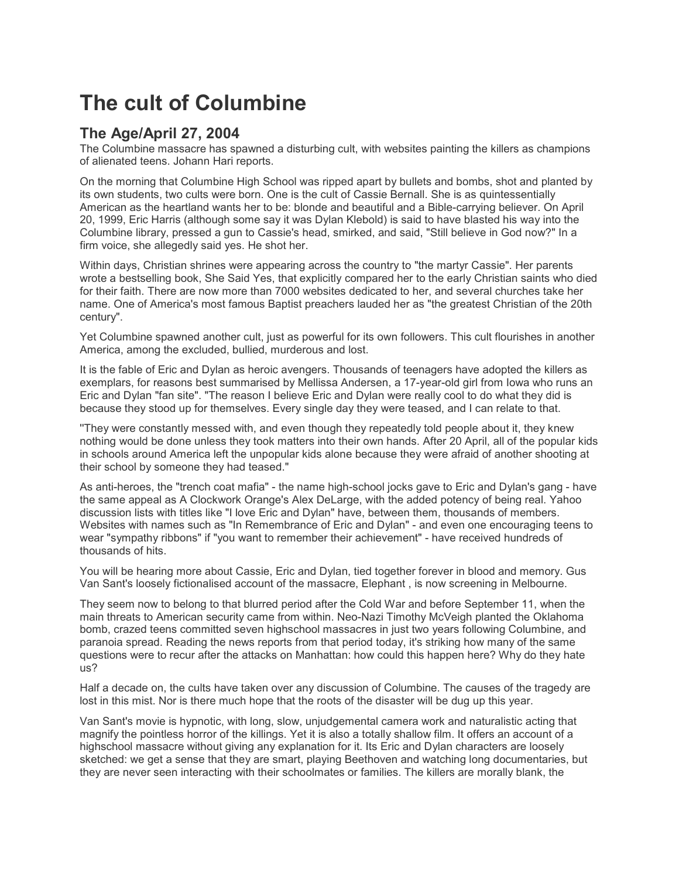## **The cult of Columbine**

## **The Age/April 27, 2004**

The Columbine massacre has spawned a disturbing cult, with websites painting the killers as champions of alienated teens. Johann Hari reports.

On the morning that Columbine High School was ripped apart by bullets and bombs, shot and planted by its own students, two cults were born. One is the cult of Cassie Bernall. She is as quintessentially American as the heartland wants her to be: blonde and beautiful and a Bible-carrying believer. On April 20, 1999, Eric Harris (although some say it was Dylan Klebold) is said to have blasted his way into the Columbine library, pressed a gun to Cassie's head, smirked, and said, "Still believe in God now?" In a firm voice, she allegedly said yes. He shot her.

Within days, Christian shrines were appearing across the country to "the martyr Cassie". Her parents wrote a bestselling book, She Said Yes, that explicitly compared her to the early Christian saints who died for their faith. There are now more than 7000 websites dedicated to her, and several churches take her name. One of America's most famous Baptist preachers lauded her as "the greatest Christian of the 20th century".

Yet Columbine spawned another cult, just as powerful for its own followers. This cult flourishes in another America, among the excluded, bullied, murderous and lost.

It is the fable of Eric and Dylan as heroic avengers. Thousands of teenagers have adopted the killers as exemplars, for reasons best summarised by Mellissa Andersen, a 17-year-old girl from Iowa who runs an Eric and Dylan "fan site". "The reason I believe Eric and Dylan were really cool to do what they did is because they stood up for themselves. Every single day they were teased, and I can relate to that.

''They were constantly messed with, and even though they repeatedly told people about it, they knew nothing would be done unless they took matters into their own hands. After 20 April, all of the popular kids in schools around America left the unpopular kids alone because they were afraid of another shooting at their school by someone they had teased."

As anti-heroes, the "trench coat mafia" - the name high-school jocks gave to Eric and Dylan's gang - have the same appeal as A Clockwork Orange's Alex DeLarge, with the added potency of being real. Yahoo discussion lists with titles like "I love Eric and Dylan" have, between them, thousands of members. Websites with names such as "In Remembrance of Eric and Dylan" - and even one encouraging teens to wear "sympathy ribbons" if "you want to remember their achievement" - have received hundreds of thousands of hits.

You will be hearing more about Cassie, Eric and Dylan, tied together forever in blood and memory. Gus Van Sant's loosely fictionalised account of the massacre, Elephant , is now screening in Melbourne.

They seem now to belong to that blurred period after the Cold War and before September 11, when the main threats to American security came from within. Neo-Nazi Timothy McVeigh planted the Oklahoma bomb, crazed teens committed seven highschool massacres in just two years following Columbine, and paranoia spread. Reading the news reports from that period today, it's striking how many of the same questions were to recur after the attacks on Manhattan: how could this happen here? Why do they hate us?

Half a decade on, the cults have taken over any discussion of Columbine. The causes of the tragedy are lost in this mist. Nor is there much hope that the roots of the disaster will be dug up this year.

Van Sant's movie is hypnotic, with long, slow, unjudgemental camera work and naturalistic acting that magnify the pointless horror of the killings. Yet it is also a totally shallow film. It offers an account of a highschool massacre without giving any explanation for it. Its Eric and Dylan characters are loosely sketched: we get a sense that they are smart, playing Beethoven and watching long documentaries, but they are never seen interacting with their schoolmates or families. The killers are morally blank, the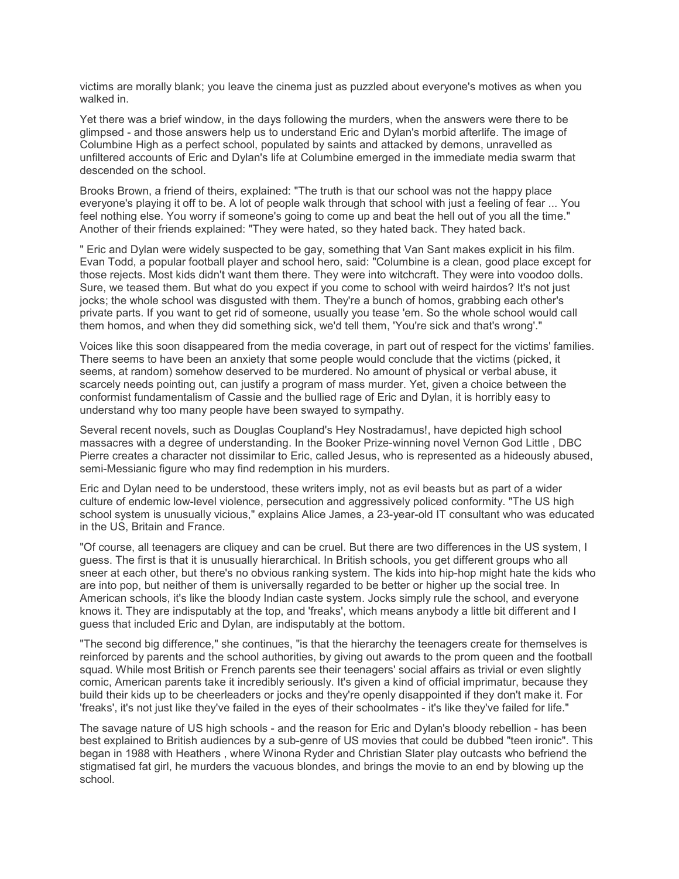victims are morally blank; you leave the cinema just as puzzled about everyone's motives as when you walked in.

Yet there was a brief window, in the days following the murders, when the answers were there to be glimpsed - and those answers help us to understand Eric and Dylan's morbid afterlife. The image of Columbine High as a perfect school, populated by saints and attacked by demons, unravelled as unfiltered accounts of Eric and Dylan's life at Columbine emerged in the immediate media swarm that descended on the school.

Brooks Brown, a friend of theirs, explained: "The truth is that our school was not the happy place everyone's playing it off to be. A lot of people walk through that school with just a feeling of fear ... You feel nothing else. You worry if someone's going to come up and beat the hell out of you all the time." Another of their friends explained: "They were hated, so they hated back. They hated back.

" Eric and Dylan were widely suspected to be gay, something that Van Sant makes explicit in his film. Evan Todd, a popular football player and school hero, said: "Columbine is a clean, good place except for those rejects. Most kids didn't want them there. They were into witchcraft. They were into voodoo dolls. Sure, we teased them. But what do you expect if you come to school with weird hairdos? It's not just jocks; the whole school was disgusted with them. They're a bunch of homos, grabbing each other's private parts. If you want to get rid of someone, usually you tease 'em. So the whole school would call them homos, and when they did something sick, we'd tell them, 'You're sick and that's wrong'."

Voices like this soon disappeared from the media coverage, in part out of respect for the victims' families. There seems to have been an anxiety that some people would conclude that the victims (picked, it seems, at random) somehow deserved to be murdered. No amount of physical or verbal abuse, it scarcely needs pointing out, can justify a program of mass murder. Yet, given a choice between the conformist fundamentalism of Cassie and the bullied rage of Eric and Dylan, it is horribly easy to understand why too many people have been swayed to sympathy.

Several recent novels, such as Douglas Coupland's Hey Nostradamus!, have depicted high school massacres with a degree of understanding. In the Booker Prize-winning novel Vernon God Little , DBC Pierre creates a character not dissimilar to Eric, called Jesus, who is represented as a hideously abused, semi-Messianic figure who may find redemption in his murders.

Eric and Dylan need to be understood, these writers imply, not as evil beasts but as part of a wider culture of endemic low-level violence, persecution and aggressively policed conformity. "The US high school system is unusually vicious," explains Alice James, a 23-year-old IT consultant who was educated in the US, Britain and France.

"Of course, all teenagers are cliquey and can be cruel. But there are two differences in the US system, I guess. The first is that it is unusually hierarchical. In British schools, you get different groups who all sneer at each other, but there's no obvious ranking system. The kids into hip-hop might hate the kids who are into pop, but neither of them is universally regarded to be better or higher up the social tree. In American schools, it's like the bloody Indian caste system. Jocks simply rule the school, and everyone knows it. They are indisputably at the top, and 'freaks', which means anybody a little bit different and I guess that included Eric and Dylan, are indisputably at the bottom.

"The second big difference," she continues, "is that the hierarchy the teenagers create for themselves is reinforced by parents and the school authorities, by giving out awards to the prom queen and the football squad. While most British or French parents see their teenagers' social affairs as trivial or even slightly comic, American parents take it incredibly seriously. It's given a kind of official imprimatur, because they build their kids up to be cheerleaders or jocks and they're openly disappointed if they don't make it. For 'freaks', it's not just like they've failed in the eyes of their schoolmates - it's like they've failed for life."

The savage nature of US high schools - and the reason for Eric and Dylan's bloody rebellion - has been best explained to British audiences by a sub-genre of US movies that could be dubbed "teen ironic". This began in 1988 with Heathers , where Winona Ryder and Christian Slater play outcasts who befriend the stigmatised fat girl, he murders the vacuous blondes, and brings the movie to an end by blowing up the school.